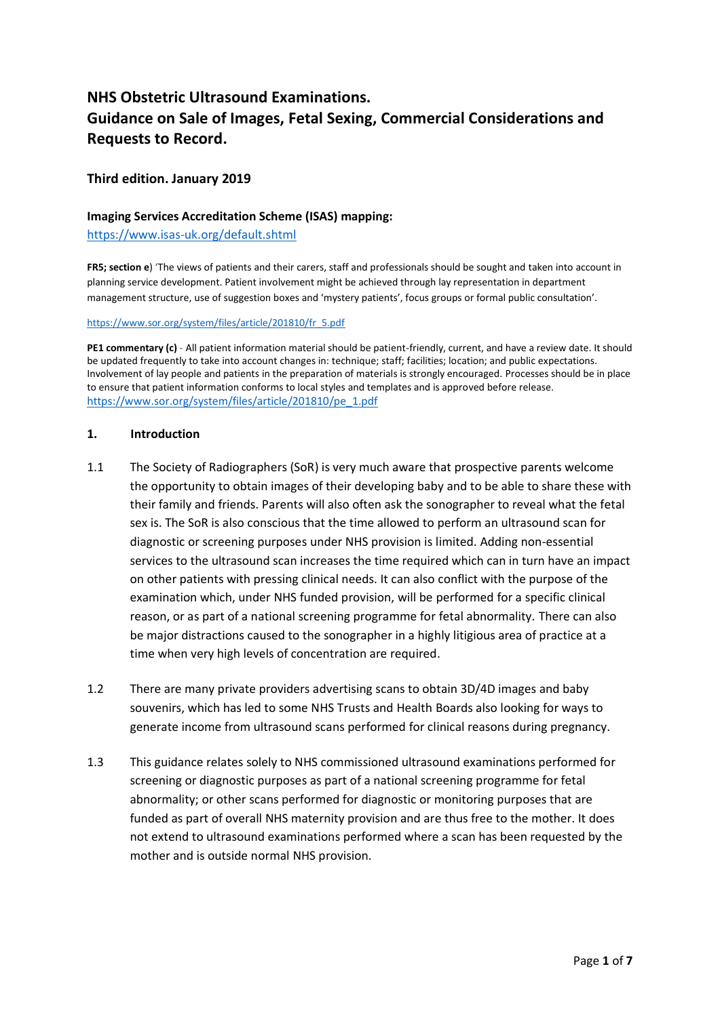# **NHS Obstetric Ultrasound Examinations. Guidance on Sale of Images, Fetal Sexing, Commercial Considerations and Requests to Record.**

### **Third edition. January 2019**

#### **Imaging Services Accreditation Scheme (ISAS) mapping:**

<https://www.isas-uk.org/default.shtml>

**FR5; section e**) 'The views of patients and their carers, staff and professionals should be sought and taken into account in planning service development. Patient involvement might be achieved through lay representation in department management structure, use of suggestion boxes and 'mystery patients', focus groups or formal public consultation'.

[https://www.sor.org/system/files/article/201810/fr\\_5.pdf](https://www.sor.org/system/files/article/201810/fr_5.pdf)

**PE1 commentary (c)** - All patient information material should be patient-friendly, current, and have a review date. It should be updated frequently to take into account changes in: technique; staff; facilities; location; and public expectations. Involvement of lay people and patients in the preparation of materials is strongly encouraged. Processes should be in place to ensure that patient information conforms to local styles and templates and is approved before release. [https://www.sor.org/system/files/article/201810/pe\\_1.pdf](https://www.sor.org/system/files/article/201810/pe_1.pdf)

#### **1. Introduction**

- 1.1 The Society of Radiographers (SoR) is very much aware that prospective parents welcome the opportunity to obtain images of their developing baby and to be able to share these with their family and friends. Parents will also often ask the sonographer to reveal what the fetal sex is. The SoR is also conscious that the time allowed to perform an ultrasound scan for diagnostic or screening purposes under NHS provision is limited. Adding non-essential services to the ultrasound scan increases the time required which can in turn have an impact on other patients with pressing clinical needs. It can also conflict with the purpose of the examination which, under NHS funded provision, will be performed for a specific clinical reason, or as part of a national screening programme for fetal abnormality. There can also be major distractions caused to the sonographer in a highly litigious area of practice at a time when very high levels of concentration are required.
- 1.2 There are many private providers advertising scans to obtain 3D/4D images and baby souvenirs, which has led to some NHS Trusts and Health Boards also looking for ways to generate income from ultrasound scans performed for clinical reasons during pregnancy.
- 1.3 This guidance relates solely to NHS commissioned ultrasound examinations performed for screening or diagnostic purposes as part of a national screening programme for fetal abnormality; or other scans performed for diagnostic or monitoring purposes that are funded as part of overall NHS maternity provision and are thus free to the mother. It does not extend to ultrasound examinations performed where a scan has been requested by the mother and is outside normal NHS provision.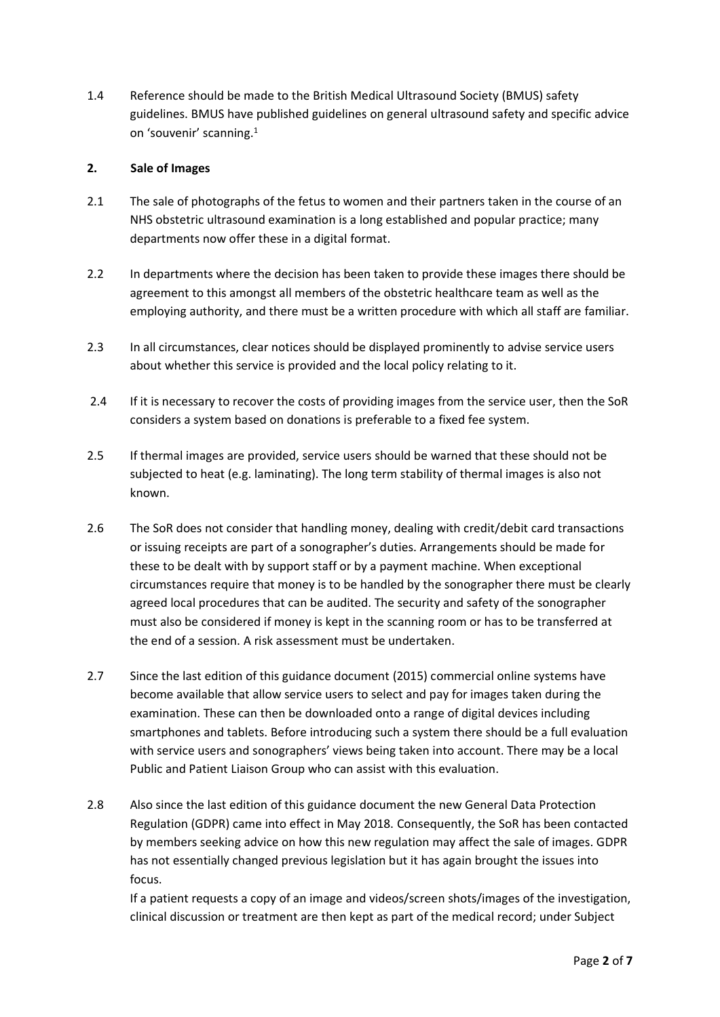1.4 Reference should be made to the British Medical Ultrasound Society (BMUS) safety guidelines. BMUS have published guidelines on general ultrasound safety and specific advice on 'souvenir' scanning.<sup>1</sup>

## **2. Sale of Images**

- 2.1 The sale of photographs of the fetus to women and their partners taken in the course of an NHS obstetric ultrasound examination is a long established and popular practice; many departments now offer these in a digital format.
- 2.2 In departments where the decision has been taken to provide these images there should be agreement to this amongst all members of the obstetric healthcare team as well as the employing authority, and there must be a written procedure with which all staff are familiar.
- 2.3 In all circumstances, clear notices should be displayed prominently to advise service users about whether this service is provided and the local policy relating to it.
- 2.4 If it is necessary to recover the costs of providing images from the service user, then the SoR considers a system based on donations is preferable to a fixed fee system.
- 2.5 If thermal images are provided, service users should be warned that these should not be subjected to heat (e.g. laminating). The long term stability of thermal images is also not known.
- 2.6 The SoR does not consider that handling money, dealing with credit/debit card transactions or issuing receipts are part of a sonographer's duties. Arrangements should be made for these to be dealt with by support staff or by a payment machine. When exceptional circumstances require that money is to be handled by the sonographer there must be clearly agreed local procedures that can be audited. The security and safety of the sonographer must also be considered if money is kept in the scanning room or has to be transferred at the end of a session. A risk assessment must be undertaken.
- 2.7 Since the last edition of this guidance document (2015) commercial online systems have become available that allow service users to select and pay for images taken during the examination. These can then be downloaded onto a range of digital devices including smartphones and tablets. Before introducing such a system there should be a full evaluation with service users and sonographers' views being taken into account. There may be a local Public and Patient Liaison Group who can assist with this evaluation.
- 2.8 Also since the last edition of this guidance document the new General Data Protection Regulation (GDPR) came into effect in May 2018. Consequently, the SoR has been contacted by members seeking advice on how this new regulation may affect the sale of images. GDPR has not essentially changed previous legislation but it has again brought the issues into focus.

If a patient requests a copy of an image and videos/screen shots/images of the investigation, clinical discussion or treatment are then kept as part of the medical record; under Subject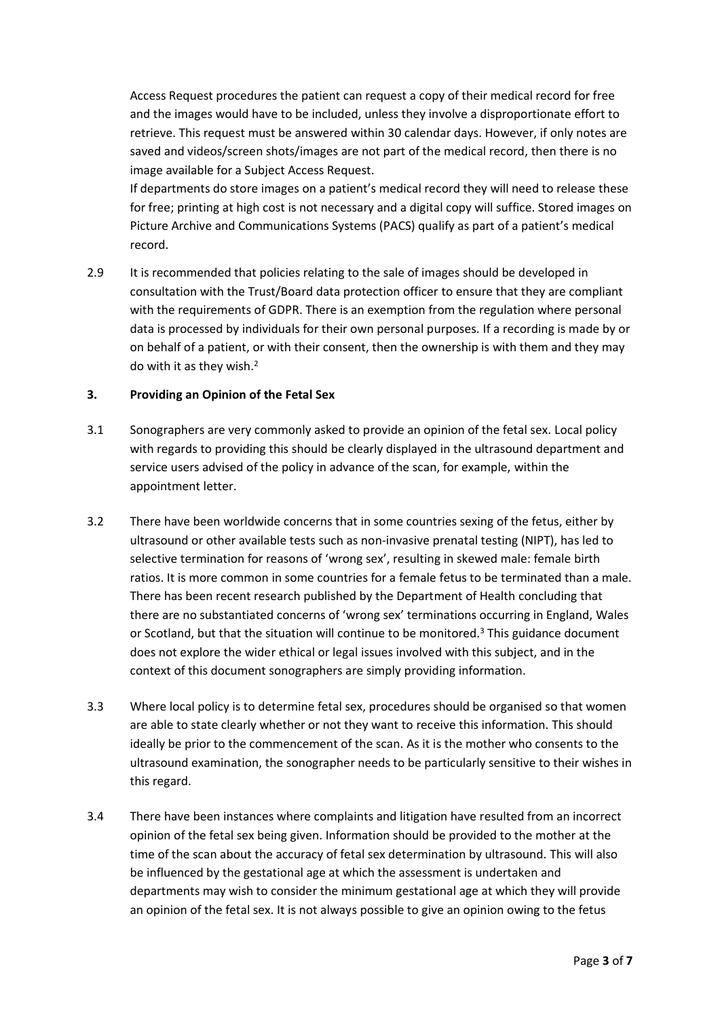Access Request procedures the patient can request a copy of their medical record for free and the images would have to be included, unless they involve a disproportionate effort to retrieve. This request must be answered within 30 calendar days. However, if only notes are saved and videos/screen shots/images are not part of the medical record, then there is no image available for a Subject Access Request.

If departments do store images on a patient's medical record they will need to release these for free; printing at high cost is not necessary and a digital copy will suffice. Stored images on Picture Archive and Communications Systems (PACS) qualify as part of a patient's medical record.

2.9 It is recommended that policies relating to the sale of images should be developed in consultation with the Trust/Board data protection officer to ensure that they are compliant with the requirements of GDPR. There is an exemption from the regulation where personal data is processed by individuals for their own personal purposes. If a recording is made by or on behalf of a patient, or with their consent, then the ownership is with them and they may do with it as they wish.<sup>2</sup>

### **3. Providing an Opinion of the Fetal Sex**

- 3.1 Sonographers are very commonly asked to provide an opinion of the fetal sex. Local policy with regards to providing this should be clearly displayed in the ultrasound department and service users advised of the policy in advance of the scan, for example, within the appointment letter.
- 3.2 There have been worldwide concerns that in some countries sexing of the fetus, either by ultrasound or other available tests such as non-invasive prenatal testing (NIPT), has led to selective termination for reasons of 'wrong sex', resulting in skewed male: female birth ratios. It is more common in some countries for a female fetus to be terminated than a male. There has been recent research published by the Department of Health concluding that there are no substantiated concerns of 'wrong sex' terminations occurring in England, Wales or Scotland, but that the situation will continue to be monitored.<sup>3</sup> This guidance document does not explore the wider ethical or legal issues involved with this subject, and in the context of this document sonographers are simply providing information.
- 3.3 Where local policy is to determine fetal sex, procedures should be organised so that women are able to state clearly whether or not they want to receive this information. This should ideally be prior to the commencement of the scan. As it is the mother who consents to the ultrasound examination, the sonographer needs to be particularly sensitive to their wishes in this regard.
- 3.4 There have been instances where complaints and litigation have resulted from an incorrect opinion of the fetal sex being given. Information should be provided to the mother at the time of the scan about the accuracy of fetal sex determination by ultrasound. This will also be influenced by the gestational age at which the assessment is undertaken and departments may wish to consider the minimum gestational age at which they will provide an opinion of the fetal sex. It is not always possible to give an opinion owing to the fetus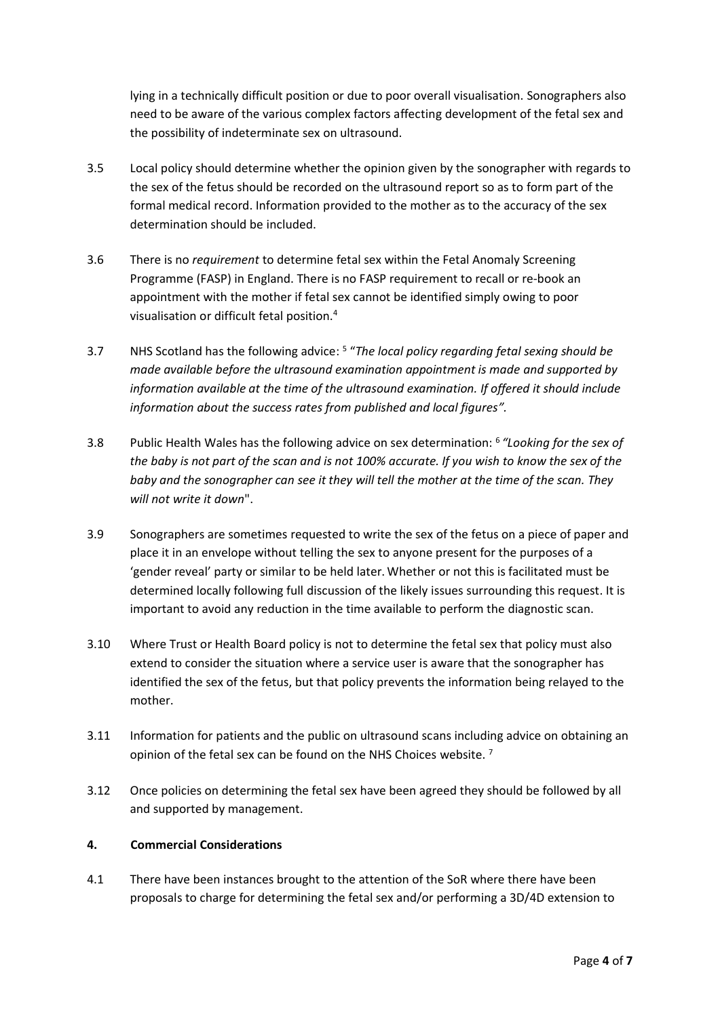lying in a technically difficult position or due to poor overall visualisation. Sonographers also need to be aware of the various complex factors affecting development of the fetal sex and the possibility of indeterminate sex on ultrasound.

- 3.5 Local policy should determine whether the opinion given by the sonographer with regards to the sex of the fetus should be recorded on the ultrasound report so as to form part of the formal medical record. Information provided to the mother as to the accuracy of the sex determination should be included.
- 3.6 There is no *requirement* to determine fetal sex within the Fetal Anomaly Screening Programme (FASP) in England. There is no FASP requirement to recall or re-book an appointment with the mother if fetal sex cannot be identified simply owing to poor visualisation or difficult fetal position.<sup>4</sup>
- 3.7 NHS Scotland has the following advice: <sup>5</sup> "*The local policy regarding fetal sexing should be made available before the ultrasound examination appointment is made and supported by information available at the time of the ultrasound examination. If offered it should include information about the success rates from published and local figures".*
- 3.8 Public Health Wales has the following advice on sex determination: 6 *"Looking for the sex of the baby is not part of the scan and is not 100% accurate. If you wish to know the sex of the baby and the sonographer can see it they will tell the mother at the time of the scan. They will not write it down*".
- 3.9 Sonographers are sometimes requested to write the sex of the fetus on a piece of paper and place it in an envelope without telling the sex to anyone present for the purposes of a 'gender reveal' party or similar to be held later.Whether or not this is facilitated must be determined locally following full discussion of the likely issues surrounding this request. It is important to avoid any reduction in the time available to perform the diagnostic scan.
- 3.10 Where Trust or Health Board policy is not to determine the fetal sex that policy must also extend to consider the situation where a service user is aware that the sonographer has identified the sex of the fetus, but that policy prevents the information being relayed to the mother.
- 3.11 Information for patients and the public on ultrasound scans including advice on obtaining an opinion of the fetal sex can be found on the NHS Choices website. <sup>7</sup>
- 3.12 Once policies on determining the fetal sex have been agreed they should be followed by all and supported by management.

# **4. Commercial Considerations**

4.1 There have been instances brought to the attention of the SoR where there have been proposals to charge for determining the fetal sex and/or performing a 3D/4D extension to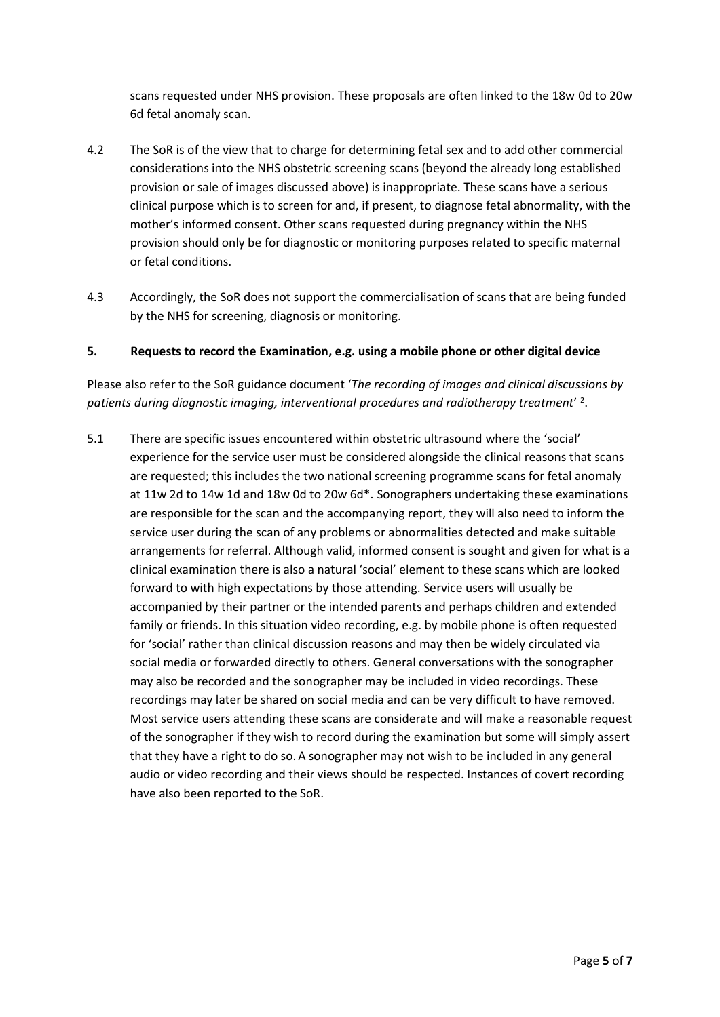scans requested under NHS provision. These proposals are often linked to the 18w 0d to 20w 6d fetal anomaly scan.

- 4.2 The SoR is of the view that to charge for determining fetal sex and to add other commercial considerations into the NHS obstetric screening scans (beyond the already long established provision or sale of images discussed above) is inappropriate. These scans have a serious clinical purpose which is to screen for and, if present, to diagnose fetal abnormality, with the mother's informed consent. Other scans requested during pregnancy within the NHS provision should only be for diagnostic or monitoring purposes related to specific maternal or fetal conditions.
- 4.3 Accordingly, the SoR does not support the commercialisation of scans that are being funded by the NHS for screening, diagnosis or monitoring.

#### **5. Requests to record the Examination, e.g. using a mobile phone or other digital device**

Please also refer to the SoR guidance document '*The recording of images and clinical discussions by patients during diagnostic imaging, interventional procedures and radiotherapy treatment*' 2 .

5.1 There are specific issues encountered within obstetric ultrasound where the 'social' experience for the service user must be considered alongside the clinical reasons that scans are requested; this includes the two national screening programme scans for fetal anomaly at 11w 2d to 14w 1d and 18w 0d to 20w 6d\*. Sonographers undertaking these examinations are responsible for the scan and the accompanying report, they will also need to inform the service user during the scan of any problems or abnormalities detected and make suitable arrangements for referral. Although valid, informed consent is sought and given for what is a clinical examination there is also a natural 'social' element to these scans which are looked forward to with high expectations by those attending. Service users will usually be accompanied by their partner or the intended parents and perhaps children and extended family or friends. In this situation video recording, e.g. by mobile phone is often requested for 'social' rather than clinical discussion reasons and may then be widely circulated via social media or forwarded directly to others. General conversations with the sonographer may also be recorded and the sonographer may be included in video recordings. These recordings may later be shared on social media and can be very difficult to have removed. Most service users attending these scans are considerate and will make a reasonable request of the sonographer if they wish to record during the examination but some will simply assert that they have a right to do so.A sonographer may not wish to be included in any general audio or video recording and their views should be respected. Instances of covert recording have also been reported to the SoR.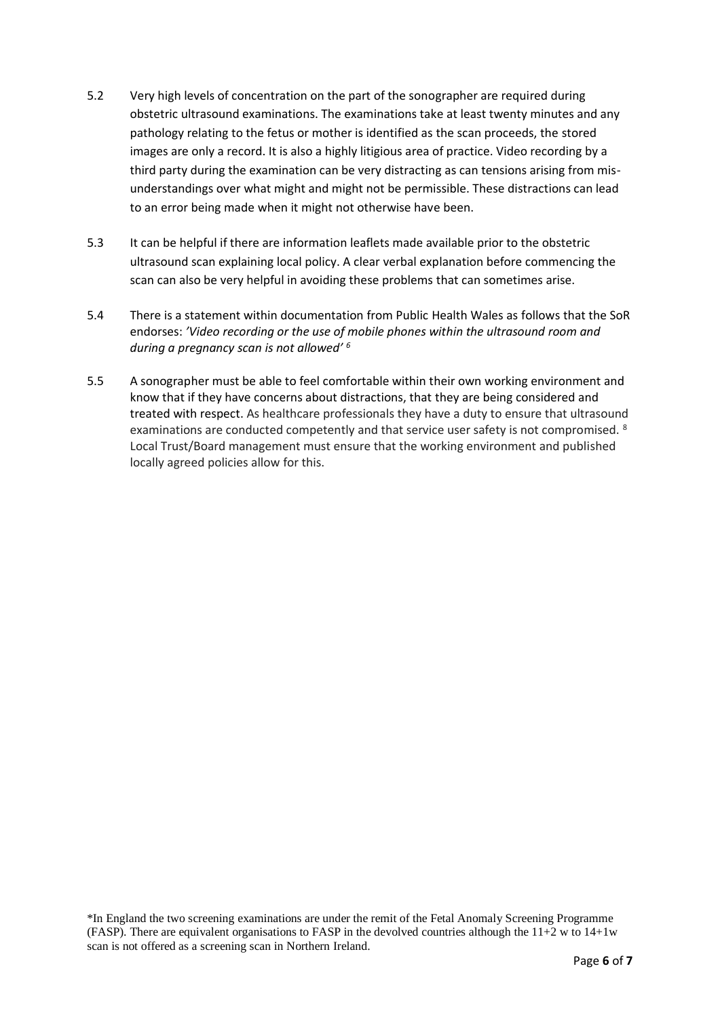- 5.2 Very high levels of concentration on the part of the sonographer are required during obstetric ultrasound examinations. The examinations take at least twenty minutes and any pathology relating to the fetus or mother is identified as the scan proceeds, the stored images are only a record. It is also a highly litigious area of practice. Video recording by a third party during the examination can be very distracting as can tensions arising from misunderstandings over what might and might not be permissible. These distractions can lead to an error being made when it might not otherwise have been.
- 5.3 It can be helpful if there are information leaflets made available prior to the obstetric ultrasound scan explaining local policy. A clear verbal explanation before commencing the scan can also be very helpful in avoiding these problems that can sometimes arise.
- 5.4 There is a statement within documentation from Public Health Wales as follows that the SoR endorses: *'Video recording or the use of mobile phones within the ultrasound room and during a pregnancy scan is not allowed' <sup>6</sup>*
- 5.5 A sonographer must be able to feel comfortable within their own working environment and know that if they have concerns about distractions, that they are being considered and treated with respect. As healthcare professionals they have a duty to ensure that ultrasound examinations are conducted competently and that service user safety is not compromised. <sup>8</sup> Local Trust/Board management must ensure that the working environment and published locally agreed policies allow for this.